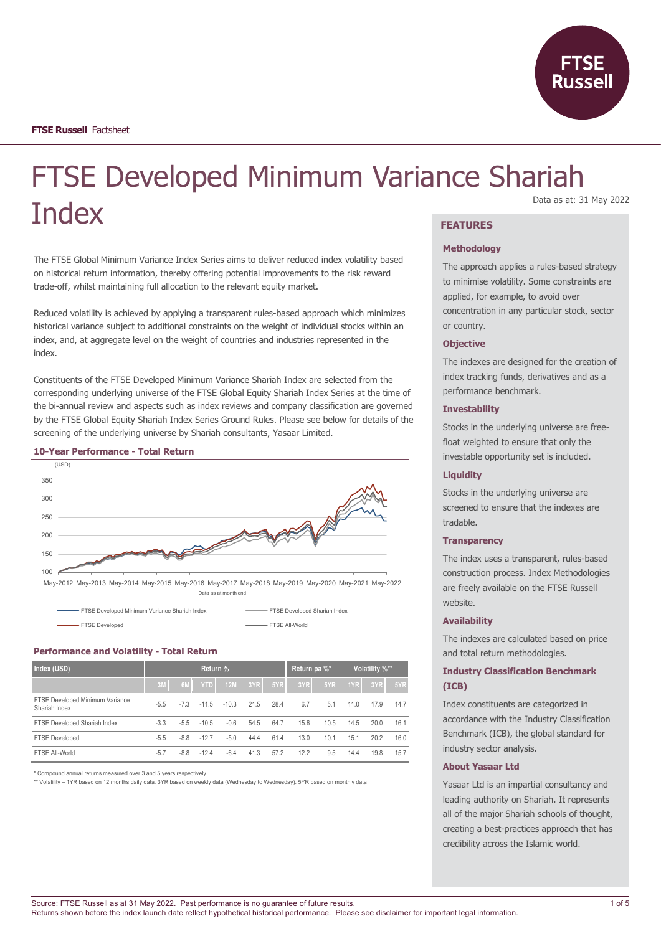

# FTSE Developed Minimum Variance Shariah **Index** Data as at: 31 May 2022

The FTSE Global Minimum Variance Index Series aims to deliver reduced index volatility based on historical return information, thereby offering potential improvements to the risk reward trade-off, whilst maintaining full allocation to the relevant equity market.

Reduced volatility is achieved by applying a transparent rules-based approach which minimizes historical variance subject to additional constraints on the weight of individual stocks within an index, and, at aggregate level on the weight of countries and industries represented in the index.

Constituents of the FTSE Developed Minimum Variance Shariah Index are selected from the corresponding underlying universe of the FTSE Global Equity Shariah Index Series at the time of the bi-annual review and aspects such as index reviews and company classification are governed by the FTSE Global Equity Shariah Index Series Ground Rules. Please see below for details of the screening of the underlying universe by Shariah consultants, Yasaar Limited.

#### **10-Year Performance - Total Return**



FTSE Developed FTSE All-World

#### **Performance and Volatility - Total Return**

| Index (USD)                                      | Return % |        |            |            |      |      | Return pa %* |      | Volatility %** |      |      |
|--------------------------------------------------|----------|--------|------------|------------|------|------|--------------|------|----------------|------|------|
|                                                  | 3M       | 6M     | <b>YTD</b> | <b>12M</b> | 3YR  | 5YR  | 3YR          | 5YR  | 1YR            | 3YR  | 5YR  |
| FTSE Developed Minimum Variance<br>Shariah Index | $-5.5$   | $-7.3$ | $-11.5$    | $-10.3$    | 21.5 | 28.4 | 6.7          | 5.1  | 11.0           | 17.9 | 14.7 |
| FTSE Developed Shariah Index                     | $-3.3$   | $-5.5$ | $-10.5$    | $-0.6$     | 54.5 | 64.7 | 15.6         | 10.5 | 14.5           | 20.0 | 16.1 |
| <b>FTSE Developed</b>                            | $-5.5$   | $-8.8$ | $-12.7$    | $-5.0$     | 44.4 | 61.4 | 13.0         | 10.1 | 15.1           | 20.2 | 16.0 |
| FTSE All-World                                   | $-5.7$   | $-8.8$ | $-12.4$    | $-6.4$     | 41.3 | 57.2 | 12.2         | 9.5  | 14.4           | 19.8 | 15.7 |

\* Compound annual returns measured over 3 and 5 years respectively

\*\* Volatility – 1YR based on 12 months daily data. 3YR based on weekly data (Wednesday to Wednesday). 5YR based on monthly data

## **FEATURES**

#### **Methodology**

The approach applies a rules-based strategy to minimise volatility. Some constraints are applied, for example, to avoid over concentration in any particular stock, sector or country.

#### **Objective**

The indexes are designed for the creation of index tracking funds, derivatives and as a performance benchmark.

## **Investability**

Stocks in the underlying universe are freefloat weighted to ensure that only the investable opportunity set is included.

#### **Liquidity**

Stocks in the underlying universe are screened to ensure that the indexes are tradable.

#### **Transparency**

The index uses a transparent, rules-based construction process. Index Methodologies are freely available on the FTSE Russell website.

## **Availability**

The indexes are calculated based on price and total return methodologies.

## **Industry Classification Benchmark (ICB)**

Index constituents are categorized in accordance with the Industry Classification Benchmark (ICB), the global standard for industry sector analysis.

#### **About Yasaar Ltd**

Yasaar Ltd is an impartial consultancy and leading authority on Shariah. It represents all of the major Shariah schools of thought, creating a best-practices approach that has credibility across the Islamic world.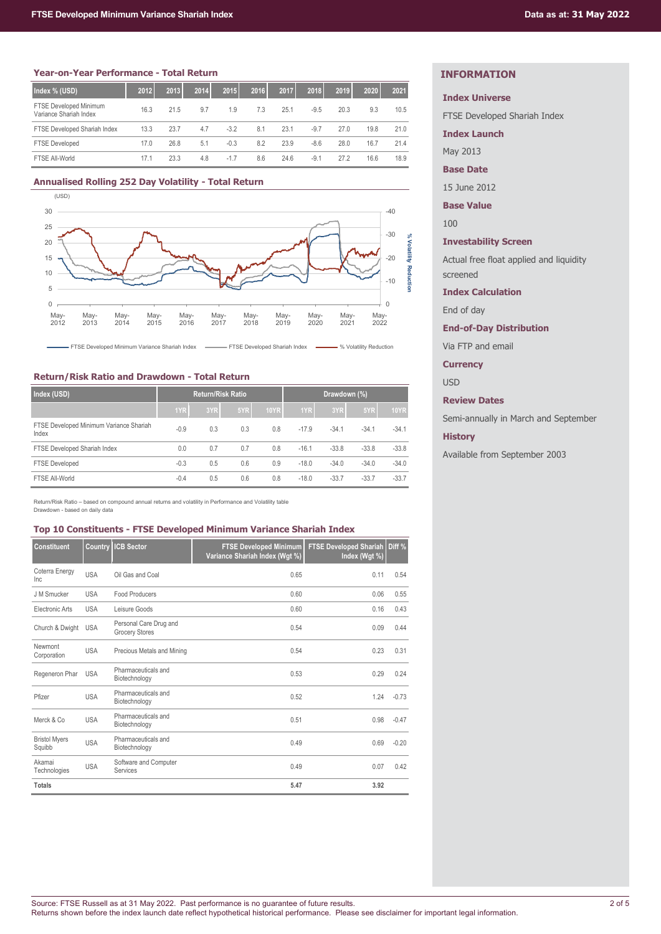#### **Year-on-Year Performance - Total Return**

| Index % (USD)                                    | 2012 | 2013 | 2014 | 2015   | 2016 | 2017 | 2018   | 2019 | 2020 | 2021 |
|--------------------------------------------------|------|------|------|--------|------|------|--------|------|------|------|
| FTSE Developed Minimum<br>Variance Shariah Index | 16.3 | 21.5 | 9.7  | 1.9    | 7.3  | 25.1 | $-9.5$ | 20.3 | 9.3  | 10.5 |
| FTSE Developed Shariah Index                     | 13.3 | 23.7 | 4.7  | $-3.2$ | 8.1  | 23.1 | $-9.7$ | 27.0 | 19.8 | 21.0 |
| <b>FTSE Developed</b>                            | 17.0 | 26.8 | 5.1  | $-0.3$ | 8.2  | 23.9 | $-8.6$ | 28.0 | 16.7 | 21.4 |
| FTSE All-World                                   | 17.1 | 23.3 | 4.8  | $-1.7$ | 8.6  | 24.6 | $-9.1$ | 27.2 | 16.6 | 18.9 |

#### **Annualised Rolling 252 Day Volatility - Total Return**



FTSE Developed Minimum Variance Shariah Index **FTSE Developed Shariah Index FISE Developed Shariah Index** (Volatility Reduction

## **Return/Risk Ratio and Drawdown - Total Return**

| Index (USD)                                      |        | Return/Risk Ratio |     |             | Drawdown (%) |         |         |             |  |
|--------------------------------------------------|--------|-------------------|-----|-------------|--------------|---------|---------|-------------|--|
|                                                  | 1YR    | 3YR               | 5YR | <b>10YR</b> | 1YR          | 3YR     | 5YR     | <b>10YR</b> |  |
| FTSE Developed Minimum Variance Shariah<br>Index | $-0.9$ | 0.3               | 0.3 | 0.8         | $-17.9$      | $-34.1$ | $-34.1$ | $-34.1$     |  |
| FTSE Developed Shariah Index                     | 0.0    | 0.7               | 0.7 | 0.8         | $-16.1$      | $-33.8$ | $-33.8$ | $-33.8$     |  |
| <b>FTSE Developed</b>                            | $-0.3$ | 0.5               | 0.6 | 0.9         | $-18.0$      | $-34.0$ | $-34.0$ | $-34.0$     |  |
| FTSE All-World                                   | $-0.4$ | 0.5               | 0.6 | 0.8         | $-18.0$      | $-33.7$ | $-33.7$ | $-33.7$     |  |

Return/Risk Ratio – based on compound annual returns and volatility in Performance and Volatility table Drawdown - based on daily data

#### **Top 10 Constituents - FTSE Developed Minimum Variance Shariah Index**

| <b>Constituent</b>             | Country    | <b>ICB Sector</b>                               | <b>FTSE Developed Minimum</b><br>Variance Shariah Index (Wgt %) | <b>FTSE Developed Shariah</b><br>Index (Wgt %) | Diff %  |
|--------------------------------|------------|-------------------------------------------------|-----------------------------------------------------------------|------------------------------------------------|---------|
| Coterra Energy<br>Inc          | <b>USA</b> | Oil Gas and Coal                                | 0.65                                                            | 0.11                                           | 0.54    |
| J M Smucker                    | <b>USA</b> | Food Producers                                  | 0.60                                                            | 0.06                                           | 0.55    |
| Electronic Arts                | <b>USA</b> | Leisure Goods                                   | 0.60                                                            | 0.16                                           | 0.43    |
| Church & Dwight                | <b>USA</b> | Personal Care Drug and<br><b>Grocery Stores</b> | 0.54                                                            | 0.09                                           | 0.44    |
| Newmont<br>Corporation         | <b>USA</b> | Precious Metals and Mining                      | 0.54                                                            | 0.23                                           | 0.31    |
| Regeneron Phar                 | <b>USA</b> | Pharmaceuticals and<br>Biotechnology            | 0.53                                                            | 0.29                                           | 0.24    |
| Pfizer                         | <b>USA</b> | Pharmaceuticals and<br>Biotechnology            | 0.52                                                            | 1.24                                           | $-0.73$ |
| Merck & Co.                    | <b>USA</b> | Pharmaceuticals and<br>Biotechnology            | 0.51                                                            | 0.98                                           | $-0.47$ |
| <b>Bristol Myers</b><br>Squibb | <b>USA</b> | Pharmaceuticals and<br>Biotechnology            | 0.49                                                            | 0.69                                           | $-0.20$ |
| Akamai<br>Technologies         | <b>USA</b> | Software and Computer<br>Services               | 0.49                                                            | 0.07                                           | 0.42    |
| <b>Totals</b>                  |            |                                                 | 5.47                                                            | 3.92                                           |         |

# **INFORMATION**

#### **Index Universe**

FTSE Developed Shariah Index

**Index Launch**

May 2013

**Base Date**

15 June 2012

**Base Value**

100

## **Investability Screen**

Actual free float applied and liquidity screened

#### **Index Calculation**

End of day

#### **End-of-Day Distribution**

Via FTP and email

#### **Currency**

USD

## **Review Dates**

Semi-annually in March and September

#### **History**

Available from September 2003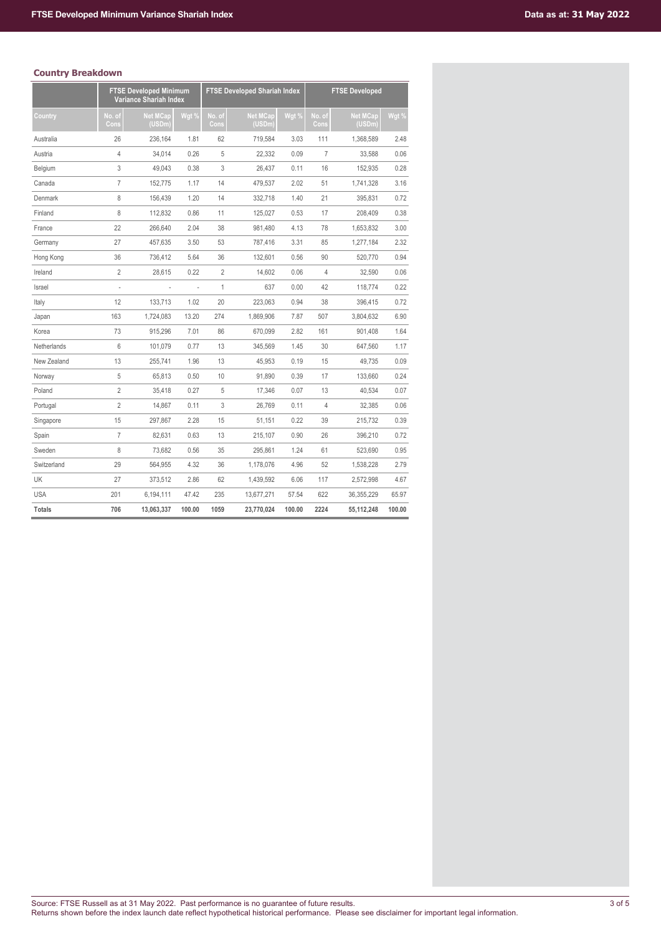# **Country Breakdown**

|               |                | <b>FTSE Developed Minimum</b><br>Variance Shariah Index |        |                | <b>FTSE Developed Shariah Index</b> |        |                | <b>FTSE Developed</b>    |        |
|---------------|----------------|---------------------------------------------------------|--------|----------------|-------------------------------------|--------|----------------|--------------------------|--------|
| Country       | No. of<br>Cons | <b>Net MCap</b><br>(USDm)                               | Wgt %  | No. of<br>Cons | <b>Net MCap</b><br>(USDm)           | Wgt %  | No. of<br>Cons | <b>Net MCap</b><br>(USDm | Wgt %  |
| Australia     | 26             | 236,164                                                 | 1.81   | 62             | 719,584                             | 3.03   | 111            | 1,368,589                | 2.48   |
| Austria       | $\overline{4}$ | 34,014                                                  | 0.26   | 5              | 22,332                              | 0.09   | 7              | 33,588                   | 0.06   |
| Belgium       | 3              | 49.043                                                  | 0.38   | 3              | 26,437                              | 0.11   | 16             | 152,935                  | 0.28   |
| Canada        | $\overline{7}$ | 152,775                                                 | 1.17   | 14             | 479,537                             | 2.02   | 51             | 1,741,328                | 3.16   |
| Denmark       | 8              | 156,439                                                 | 1.20   | 14             | 332,718                             | 1.40   | 21             | 395,831                  | 0.72   |
| Finland       | 8              | 112,832                                                 | 0.86   | 11             | 125,027                             | 0.53   | 17             | 208,409                  | 0.38   |
| France        | 22             | 266,640                                                 | 2.04   | 38             | 981,480                             | 4.13   | 78             | 1,653,832                | 3.00   |
| Germany       | 27             | 457,635                                                 | 3.50   | 53             | 787,416                             | 3.31   | 85             | 1,277,184                | 2.32   |
| Hong Kong     | 36             | 736,412                                                 | 5.64   | 36             | 132,601                             | 0.56   | 90             | 520,770                  | 0.94   |
| Ireland       | $\overline{2}$ | 28,615                                                  | 0.22   | $\overline{2}$ | 14,602                              | 0.06   | 4              | 32,590                   | 0.06   |
| Israel        |                |                                                         |        | $\mathbf{1}$   | 637                                 | 0.00   | 42             | 118,774                  | 0.22   |
| Italy         | 12             | 133,713                                                 | 1.02   | 20             | 223,063                             | 0.94   | 38             | 396,415                  | 0.72   |
| Japan         | 163            | 1,724,083                                               | 13.20  | 274            | 1,869,906                           | 7.87   | 507            | 3,804,632                | 6.90   |
| Korea         | 73             | 915,296                                                 | 7.01   | 86             | 670,099                             | 2.82   | 161            | 901,408                  | 1.64   |
| Netherlands   | 6              | 101,079                                                 | 0.77   | 13             | 345,569                             | 1.45   | 30             | 647,560                  | 1.17   |
| New Zealand   | 13             | 255,741                                                 | 1.96   | 13             | 45,953                              | 0.19   | 15             | 49,735                   | 0.09   |
| Norway        | 5              | 65,813                                                  | 0.50   | 10             | 91,890                              | 0.39   | 17             | 133,660                  | 0.24   |
| Poland        | $\overline{2}$ | 35,418                                                  | 0.27   | 5              | 17,346                              | 0.07   | 13             | 40,534                   | 0.07   |
| Portugal      | $\overline{2}$ | 14,867                                                  | 0.11   | 3              | 26,769                              | 0.11   | 4              | 32,385                   | 0.06   |
| Singapore     | 15             | 297,867                                                 | 2.28   | 15             | 51,151                              | 0.22   | 39             | 215,732                  | 0.39   |
| Spain         | $\overline{7}$ | 82,631                                                  | 0.63   | 13             | 215,107                             | 0.90   | 26             | 396,210                  | 0.72   |
| Sweden        | 8              | 73,682                                                  | 0.56   | 35             | 295,861                             | 1.24   | 61             | 523,690                  | 0.95   |
| Switzerland   | 29             | 564,955                                                 | 4.32   | 36             | 1,178,076                           | 4.96   | 52             | 1,538,228                | 2.79   |
| UK            | 27             | 373,512                                                 | 2.86   | 62             | 1,439,592                           | 6.06   | 117            | 2,572,998                | 4.67   |
| <b>USA</b>    | 201            | 6,194,111                                               | 47.42  | 235            | 13,677,271                          | 57.54  | 622            | 36,355,229               | 65.97  |
| <b>Totals</b> | 706            | 13,063,337                                              | 100.00 | 1059           | 23,770,024                          | 100.00 | 2224           | 55,112,248               | 100.00 |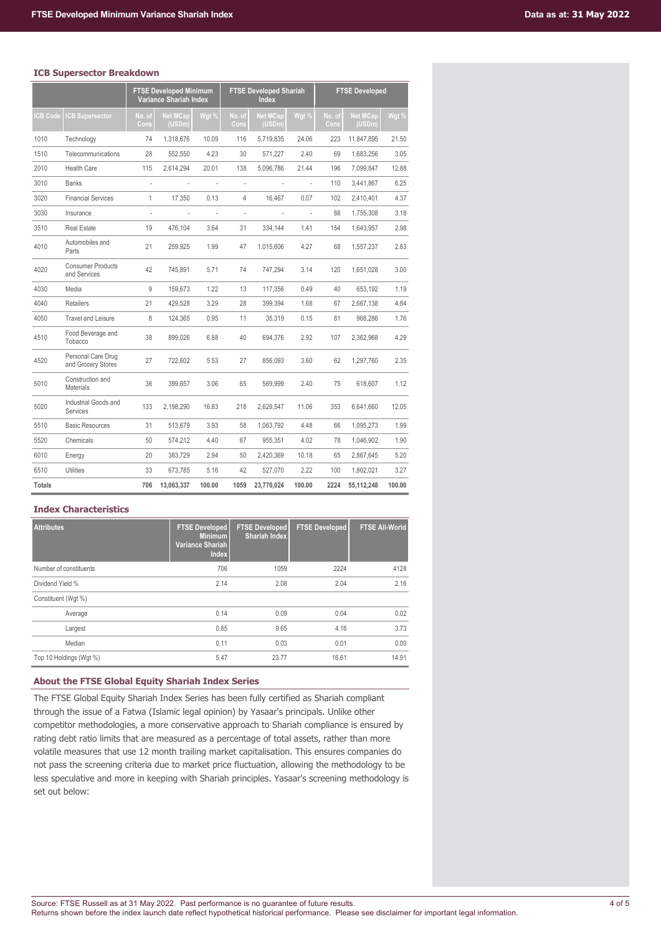## **ICB Supersector Breakdown**

|               |                                          |                          | <b>FTSE Developed Minimum</b><br>Variance Shariah Index |        | <b>FTSE Developed Shariah</b><br><b>Index</b> |                           |                          | <b>FTSE Developed</b> |                           |        |  |
|---------------|------------------------------------------|--------------------------|---------------------------------------------------------|--------|-----------------------------------------------|---------------------------|--------------------------|-----------------------|---------------------------|--------|--|
| CB Code       | <b>CB Supersector</b>                    | No. of<br>Cons           | <b>Net MCap</b><br>(USDm)                               | Wgt %  | No. of<br>Cons                                | <b>Net MCap</b><br>(USDm) | Wgt %                    | No. of<br>Cons        | <b>Net MCap</b><br>(USDm) | Wgt %  |  |
| 1010          | Technology                               | 74                       | 1,318,676                                               | 10.09  | 116                                           | 5,719,835                 | 24.06                    | 223                   | 11,847,895                | 21.50  |  |
| 1510          | Telecommunications                       | 28                       | 552,550                                                 | 4.23   | 30                                            | 571,227                   | 2.40                     | 69                    | 1,683,256                 | 3.05   |  |
| 2010          | <b>Health Care</b>                       | 115                      | 2,614,294                                               | 20.01  | 138                                           | 5,096,786                 | 21.44                    | 196                   | 7,099,847                 | 12.88  |  |
| 3010          | <b>Banks</b>                             | ÷                        | L,                                                      |        | $\overline{\phantom{a}}$                      |                           | Ĭ.                       | 110                   | 3,441,867                 | 6.25   |  |
| 3020          | <b>Financial Services</b>                | 1                        | 17,350                                                  | 0.13   | 4                                             | 16,467                    | 0.07                     | 102                   | 2,410,401                 | 4.37   |  |
| 3030          | Insurance                                | $\overline{\phantom{a}}$ | $\overline{\phantom{a}}$                                | ÷      | $\overline{\phantom{a}}$                      | $\overline{\phantom{a}}$  | $\overline{\phantom{a}}$ | 88                    | 1,755,308                 | 3.18   |  |
| 3510          | <b>Real Estate</b>                       | 19                       | 476.104                                                 | 3.64   | 31                                            | 334,144                   | 1.41                     | 154                   | 1,643,957                 | 2.98   |  |
| 4010          | Automobiles and<br>Parts                 | 21                       | 259,925                                                 | 1.99   | 47                                            | 1,015,606                 | 4.27                     | 68                    | 1,557,237                 | 2.83   |  |
| 4020          | <b>Consumer Products</b><br>and Services | 42                       | 745,891                                                 | 5.71   | 74                                            | 747,294                   | 3.14                     | 120                   | 1,651,028                 | 3.00   |  |
| 4030          | Media                                    | 9                        | 159,673                                                 | 1.22   | 13                                            | 117,356                   | 0.49                     | 40                    | 653,192                   | 1.19   |  |
| 4040          | Retailers                                | 21                       | 429,528                                                 | 3.29   | 28                                            | 399,394                   | 1.68                     | 67                    | 2,667,138                 | 4.84   |  |
| 4050          | <b>Travel and Leisure</b>                | 8                        | 124,365                                                 | 0.95   | 11                                            | 35,319                    | 0.15                     | 81                    | 968,286                   | 1.76   |  |
| 4510          | Food Beverage and<br>Tobacco             | 38                       | 899.026                                                 | 6.88   | 40                                            | 694,376                   | 2.92                     | 107                   | 2,362,968                 | 4.29   |  |
| 4520          | Personal Care Drug<br>and Grocery Stores | 27                       | 722,602                                                 | 5.53   | 27                                            | 856,093                   | 3.60                     | 62                    | 1,297,760                 | 2.35   |  |
| 5010          | Construction and<br><b>Materials</b>     | 36                       | 399,657                                                 | 3.06   | 65                                            | 569,999                   | 2.40                     | 75                    | 618,607                   | 1.12   |  |
| 5020          | Industrial Goods and<br>Services         | 133                      | 2,198,290                                               | 16.83  | 218                                           | 2,629,547                 | 11.06                    | 353                   | 6,641,660                 | 12.05  |  |
| 5510          | <b>Basic Resources</b>                   | 31                       | 513,679                                                 | 3.93   | 58                                            | 1,063,792                 | 4.48                     | 66                    | 1,095,273                 | 1.99   |  |
| 5520          | Chemicals                                | 50                       | 574,212                                                 | 4.40   | 67                                            | 955,351                   | 4.02                     | 78                    | 1,046,902                 | 1.90   |  |
| 6010          | Energy                                   | 20                       | 383,729                                                 | 2.94   | 50                                            | 2,420,369                 | 10.18                    | 65                    | 2,867,645                 | 5.20   |  |
| 6510          | Utilities                                | 33                       | 673,785                                                 | 5.16   | 42                                            | 527,070                   | 2.22                     | 100                   | 1,802,021                 | 3.27   |  |
| <b>Totals</b> |                                          | 706                      | 13,063,337                                              | 100.00 | 1059                                          | 23,770,024                | 100.00                   | 2224                  | 55,112,248                | 100.00 |  |

# **Index Characteristics**

| <b>Attributes</b>       | <b>FTSE Developed</b><br><b>Minimum</b><br>Variance Shariah<br><b>Index</b> | <b>FTSE Developed</b><br><b>Shariah Index</b> | <b>FTSE Developed</b> | <b>FTSE All-World</b> |
|-------------------------|-----------------------------------------------------------------------------|-----------------------------------------------|-----------------------|-----------------------|
| Number of constituents  | 706                                                                         | 1059                                          | 2224                  | 4128                  |
| Dividend Yield %        | 2.14                                                                        | 2.08                                          | 2.04                  | 2.16                  |
| Constituent (Wgt %)     |                                                                             |                                               |                       |                       |
| Average                 | 0.14                                                                        | 0.09                                          | 0.04                  | 0.02                  |
| Largest                 | 0.65                                                                        | 9.65                                          | 4.16                  | 3.73                  |
| Median                  | 0.11                                                                        | 0.03                                          | 0.01                  | 0.00                  |
| Top 10 Holdings (Wgt %) | 5.47                                                                        | 23.77                                         | 16.61                 | 14.91                 |

## **About the FTSE Global Equity Shariah Index Series**

The FTSE Global Equity Shariah Index Series has been fully certified as Shariah compliant through the issue of a Fatwa (Islamic legal opinion) by Yasaar's principals. Unlike other competitor methodologies, a more conservative approach to Shariah compliance is ensured by rating debt ratio limits that are measured as a percentage of total assets, rather than more volatile measures that use 12 month trailing market capitalisation. This ensures companies do not pass the screening criteria due to market price fluctuation, allowing the methodology to be less speculative and more in keeping with Shariah principles. Yasaar's screening methodology is set out below: